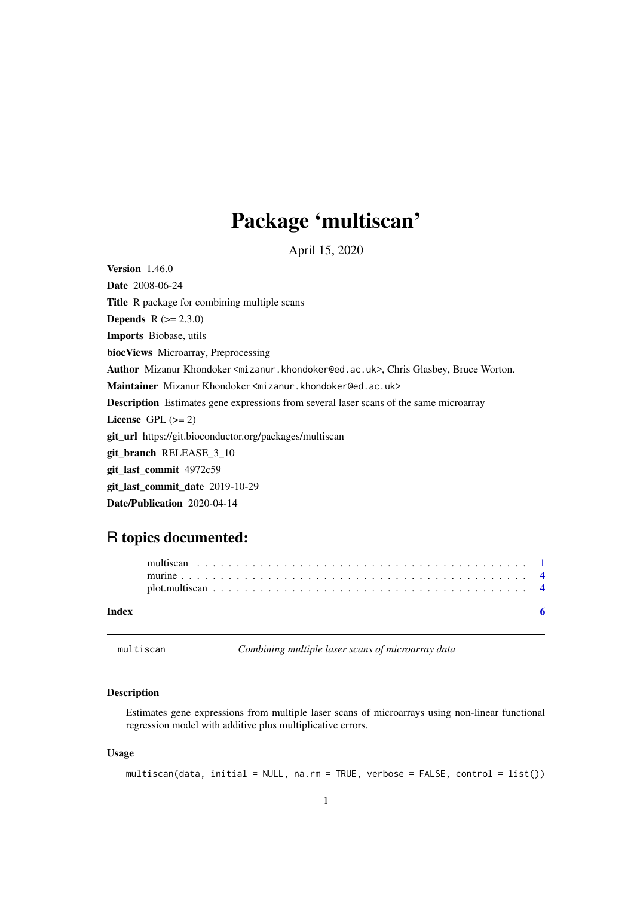## <span id="page-0-0"></span>Package 'multiscan'

April 15, 2020

<span id="page-0-1"></span>Version 1.46.0 Date 2008-06-24 Title R package for combining multiple scans **Depends**  $R (= 2.3.0)$ Imports Biobase, utils biocViews Microarray, Preprocessing Author Mizanur Khondoker <mizanur.khondoker@ed.ac.uk>, Chris Glasbey, Bruce Worton. Maintainer Mizanur Khondoker <mizanur.khondoker@ed.ac.uk> Description Estimates gene expressions from several laser scans of the same microarray License GPL  $(>= 2)$ git\_url https://git.bioconductor.org/packages/multiscan git\_branch RELEASE\_3\_10 git\_last\_commit 4972c59 git last commit date 2019-10-29 Date/Publication 2020-04-14

### R topics documented:

| Index |  |  |  |  |  |  |  |  |  |  |  |  |  |  |  |  |  |
|-------|--|--|--|--|--|--|--|--|--|--|--|--|--|--|--|--|--|
|       |  |  |  |  |  |  |  |  |  |  |  |  |  |  |  |  |  |
|       |  |  |  |  |  |  |  |  |  |  |  |  |  |  |  |  |  |
|       |  |  |  |  |  |  |  |  |  |  |  |  |  |  |  |  |  |

<span id="page-0-2"></span>multiscan *Combining multiple laser scans of microarray data*

#### Description

Estimates gene expressions from multiple laser scans of microarrays using non-linear functional regression model with additive plus multiplicative errors.

#### Usage

multiscan(data, initial = NULL, na.rm = TRUE, verbose = FALSE, control = list())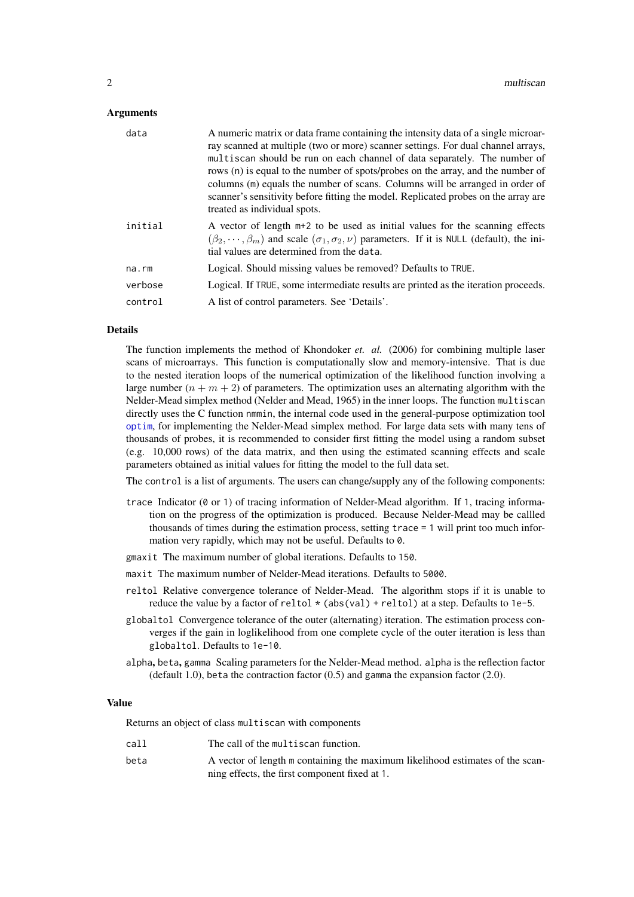#### <span id="page-1-0"></span>Arguments

| data    | A numeric matrix or data frame containing the intensity data of a single microar-<br>ray scanned at multiple (two or more) scanner settings. For dual channel arrays,<br>multiscan should be run on each channel of data separately. The number of<br>rows (n) is equal to the number of spots/probes on the array, and the number of<br>columns (m) equals the number of scans. Columns will be arranged in order of<br>scanner's sensitivity before fitting the model. Replicated probes on the array are<br>treated as individual spots. |
|---------|---------------------------------------------------------------------------------------------------------------------------------------------------------------------------------------------------------------------------------------------------------------------------------------------------------------------------------------------------------------------------------------------------------------------------------------------------------------------------------------------------------------------------------------------|
| initial | A vector of length $m+2$ to be used as initial values for the scanning effects<br>$(\beta_2, \dots, \beta_m)$ and scale $(\sigma_1, \sigma_2, \nu)$ parameters. If it is NULL (default), the ini-<br>tial values are determined from the data.                                                                                                                                                                                                                                                                                              |
| na.rm   | Logical. Should missing values be removed? Defaults to TRUE.                                                                                                                                                                                                                                                                                                                                                                                                                                                                                |
| verbose | Logical. If TRUE, some intermediate results are printed as the iteration proceeds.                                                                                                                                                                                                                                                                                                                                                                                                                                                          |
| control | A list of control parameters. See 'Details'.                                                                                                                                                                                                                                                                                                                                                                                                                                                                                                |

#### Details

The function implements the method of Khondoker *et. al.* (2006) for combining multiple laser scans of microarrays. This function is computationally slow and memory-intensive. That is due to the nested iteration loops of the numerical optimization of the likelihood function involving a large number  $(n + m + 2)$  of parameters. The optimization uses an alternating algorithm with the Nelder-Mead simplex method (Nelder and Mead, 1965) in the inner loops. The function multiscan directly uses the C function nmmin, the internal code used in the general-purpose optimization tool [optim](#page-0-1), for implementing the Nelder-Mead simplex method. For large data sets with many tens of thousands of probes, it is recommended to consider first fitting the model using a random subset (e.g. 10,000 rows) of the data matrix, and then using the estimated scanning effects and scale parameters obtained as initial values for fitting the model to the full data set.

The control is a list of arguments. The users can change/supply any of the following components:

- trace Indicator ( $\theta$  or 1) of tracing information of Nelder-Mead algorithm. If 1, tracing information on the progress of the optimization is produced. Because Nelder-Mead may be callled thousands of times during the estimation process, setting trace = 1 will print too much information very rapidly, which may not be useful. Defaults to 0.
- gmaxit The maximum number of global iterations. Defaults to 150.
- maxit The maximum number of Nelder-Mead iterations. Defaults to 5000.
- reltol Relative convergence tolerance of Nelder-Mead. The algorithm stops if it is unable to reduce the value by a factor of reltol  $\star$  (abs(val) + reltol) at a step. Defaults to 1e-5.
- globaltol Convergence tolerance of the outer (alternating) iteration. The estimation process converges if the gain in loglikelihood from one complete cycle of the outer iteration is less than globaltol. Defaults to 1e-10.
- alpha, beta, gamma Scaling parameters for the Nelder-Mead method. alpha is the reflection factor (default 1.0), beta the contraction factor (0.5) and gamma the expansion factor (2.0).

#### Value

Returns an object of class multiscan with components

| call | The call of the multiscan function.                                           |
|------|-------------------------------------------------------------------------------|
| beta | A vector of length m containing the maximum likelihood estimates of the scan- |
|      | ning effects, the first component fixed at 1.                                 |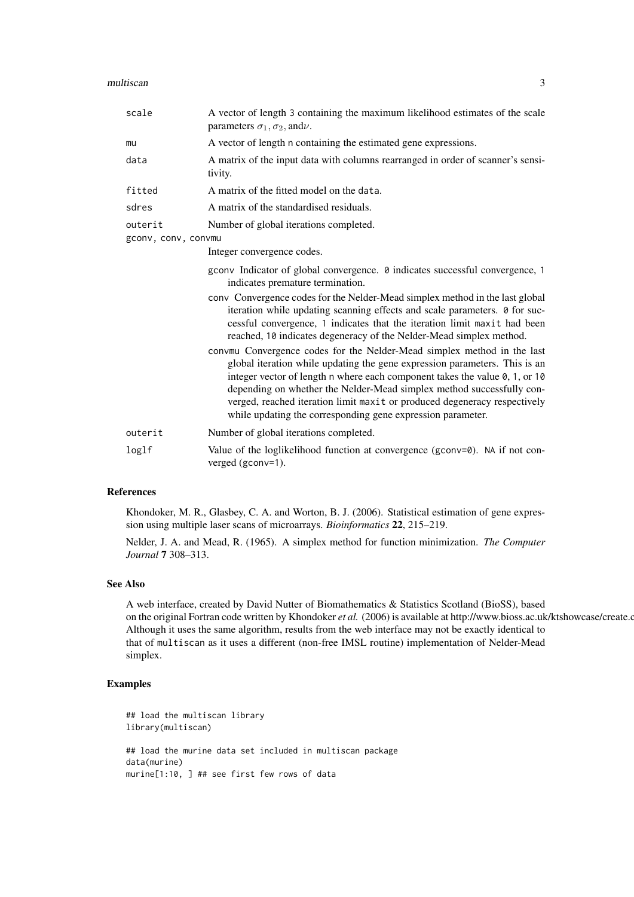#### multiscan 3

| scale               | A vector of length 3 containing the maximum likelihood estimates of the scale<br>parameters $\sigma_1$ , $\sigma_2$ , and $\nu$ .                                                                                                                                                                                                                                                                                                                         |  |  |  |  |
|---------------------|-----------------------------------------------------------------------------------------------------------------------------------------------------------------------------------------------------------------------------------------------------------------------------------------------------------------------------------------------------------------------------------------------------------------------------------------------------------|--|--|--|--|
| mu                  | A vector of length n containing the estimated gene expressions.                                                                                                                                                                                                                                                                                                                                                                                           |  |  |  |  |
| data                | A matrix of the input data with columns rearranged in order of scanner's sensi-<br>tivity.                                                                                                                                                                                                                                                                                                                                                                |  |  |  |  |
| fitted              | A matrix of the fitted model on the data.                                                                                                                                                                                                                                                                                                                                                                                                                 |  |  |  |  |
| sdres               | A matrix of the standardised residuals.                                                                                                                                                                                                                                                                                                                                                                                                                   |  |  |  |  |
| outerit             | Number of global iterations completed.                                                                                                                                                                                                                                                                                                                                                                                                                    |  |  |  |  |
| gconv, conv, convmu |                                                                                                                                                                                                                                                                                                                                                                                                                                                           |  |  |  |  |
|                     | Integer convergence codes.                                                                                                                                                                                                                                                                                                                                                                                                                                |  |  |  |  |
|                     | gconv Indicator of global convergence. 0 indicates successful convergence, 1<br>indicates premature termination.                                                                                                                                                                                                                                                                                                                                          |  |  |  |  |
|                     | conv Convergence codes for the Nelder-Mead simplex method in the last global<br>iteration while updating scanning effects and scale parameters. 0 for suc-<br>cessful convergence, 1 indicates that the iteration limit maxit had been<br>reached, 10 indicates degeneracy of the Nelder-Mead simplex method.                                                                                                                                             |  |  |  |  |
|                     | convmu Convergence codes for the Nelder-Mead simplex method in the last<br>global iteration while updating the gene expression parameters. This is an<br>integer vector of length n where each component takes the value 0, 1, or 10<br>depending on whether the Nelder-Mead simplex method successfully con-<br>verged, reached iteration limit maxit or produced degeneracy respectively<br>while updating the corresponding gene expression parameter. |  |  |  |  |
| outerit             | Number of global iterations completed.                                                                                                                                                                                                                                                                                                                                                                                                                    |  |  |  |  |
| loglf               | Value of the loglikelihood function at convergence ( $gconv=0$ ). NA if not con-<br>verged (gconv=1).                                                                                                                                                                                                                                                                                                                                                     |  |  |  |  |

#### References

Khondoker, M. R., Glasbey, C. A. and Worton, B. J. (2006). Statistical estimation of gene expression using multiple laser scans of microarrays. *Bioinformatics* 22, 215–219.

Nelder, J. A. and Mead, R. (1965). A simplex method for function minimization. *The Computer Journal* 7 308–313.

#### See Also

A web interface, created by David Nutter of Biomathematics & Statistics Scotland (BioSS), based on the original Fortran code written by Khondoker et al. (2006) is available at http://www.bioss.ac.uk/ktshowcase/create.c Although it uses the same algorithm, results from the web interface may not be exactly identical to that of multiscan as it uses a different (non-free IMSL routine) implementation of Nelder-Mead simplex.

#### Examples

```
## load the multiscan library
library(multiscan)
## load the murine data set included in multiscan package
data(murine)
murine[1:10, ] ## see first few rows of data
```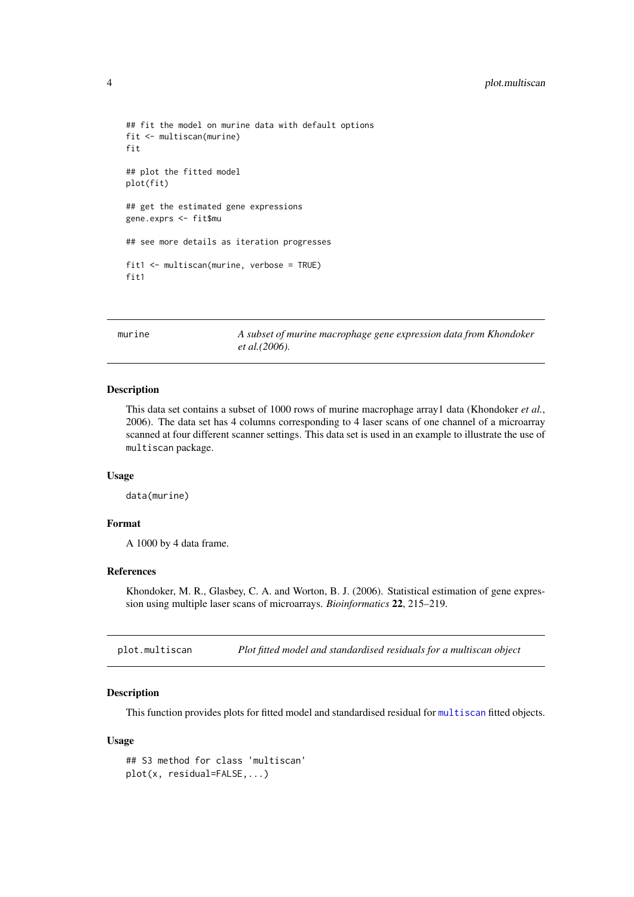```
## fit the model on murine data with default options
fit <- multiscan(murine)
fit
## plot the fitted model
plot(fit)
## get the estimated gene expressions
gene.exprs <- fit$mu
## see more details as iteration progresses
fit1 <- multiscan(murine, verbose = TRUE)
fit<sub>1</sub>
```
murine *A subset of murine macrophage gene expression data from Khondoker et al.(2006).*

#### Description

This data set contains a subset of 1000 rows of murine macrophage array1 data (Khondoker *et al.*, 2006). The data set has 4 columns corresponding to 4 laser scans of one channel of a microarray scanned at four different scanner settings. This data set is used in an example to illustrate the use of multiscan package.

#### Usage

data(murine)

#### Format

A 1000 by 4 data frame.

#### References

Khondoker, M. R., Glasbey, C. A. and Worton, B. J. (2006). Statistical estimation of gene expression using multiple laser scans of microarrays. *Bioinformatics* 22, 215–219.

plot.multiscan *Plot fitted model and standardised residuals for a multiscan object*

#### Description

This function provides plots for fitted model and standardised residual for [multiscan](#page-0-2) fitted objects.

#### Usage

```
## S3 method for class 'multiscan'
plot(x, residual=FALSE,...)
```
<span id="page-3-0"></span>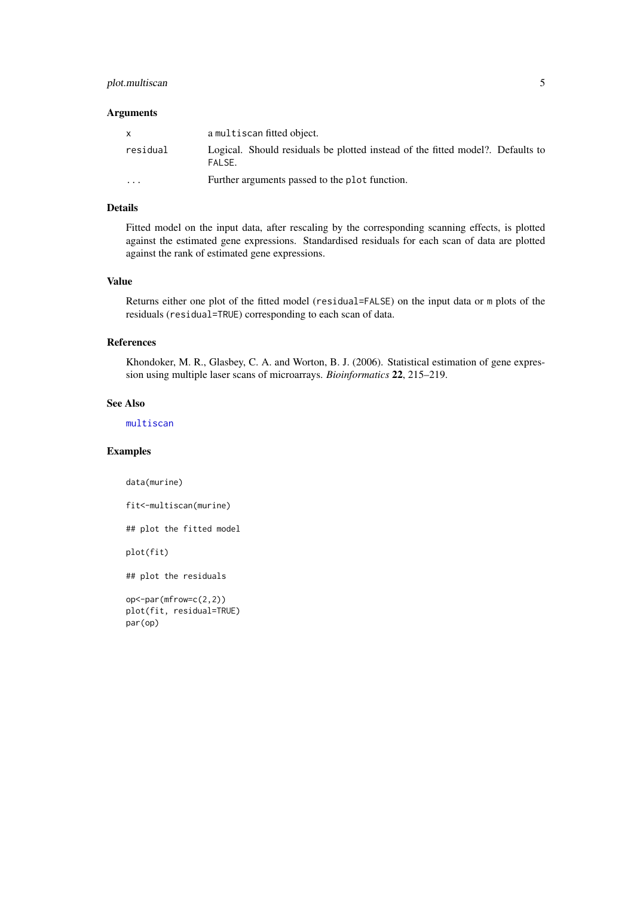#### <span id="page-4-0"></span>plot.multiscan 5

#### Arguments

| $\mathsf{x}$            | a multiscan fitted object.                                                                |
|-------------------------|-------------------------------------------------------------------------------------------|
| residual                | Logical. Should residuals be plotted instead of the fitted model?. Defaults to<br>FAI SF. |
| $\cdot$ $\cdot$ $\cdot$ | Further arguments passed to the plot function.                                            |

#### Details

Fitted model on the input data, after rescaling by the corresponding scanning effects, is plotted against the estimated gene expressions. Standardised residuals for each scan of data are plotted against the rank of estimated gene expressions.

#### Value

Returns either one plot of the fitted model (residual=FALSE) on the input data or m plots of the residuals (residual=TRUE) corresponding to each scan of data.

#### References

Khondoker, M. R., Glasbey, C. A. and Worton, B. J. (2006). Statistical estimation of gene expression using multiple laser scans of microarrays. *Bioinformatics* 22, 215–219.

#### See Also

[multiscan](#page-0-2)

#### Examples

data(murine)

fit<-multiscan(murine)

## plot the fitted model

plot(fit)

## plot the residuals

```
op<-par(mfrow=c(2,2))
plot(fit, residual=TRUE)
par(op)
```